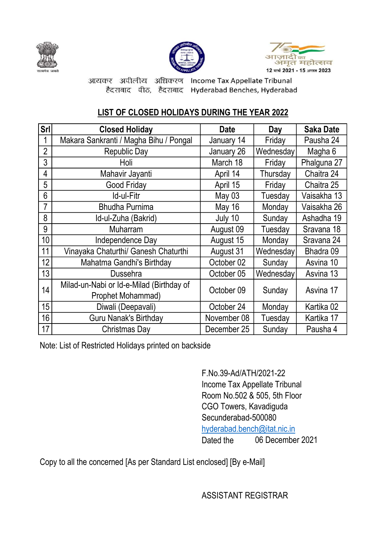





आयकर अपीलीय अधिकरण Income Tax Appellate Tribunal हैदराबाद पीठ, हैदराबाद Hyderabad Benches, Hyderabad

## LIST OF CLOSED HOLIDAYS DURING THE YEAR 2022

| Srl            | <b>Closed Holiday</b>                    | <b>Date</b>   | Day       | <b>Saka Date</b> |
|----------------|------------------------------------------|---------------|-----------|------------------|
|                | Makara Sankranti / Magha Bihu / Pongal   | January 14    | Friday    | Pausha 24        |
| $\overline{2}$ | <b>Republic Day</b>                      | January 26    | Wednesday | Magha 6          |
| 3              | Holi                                     | March 18      | Friday    | Phalguna 27      |
| 4              | Mahavir Jayanti                          | April 14      | Thursday  | Chaitra 24       |
| 5              | Good Friday                              | April 15      | Friday    | Chaitra 25       |
| 6              | Id-ul-Fitr                               | May 03        | Tuesday   | Vaisakha 13      |
|                | <b>Bhudha Purnima</b>                    | <b>May 16</b> | Monday    | Vaisakha 26      |
| 8              | Id-ul-Zuha (Bakrid)                      | July 10       | Sunday    | Ashadha 19       |
| 9              | <b>Muharram</b>                          | August 09     | Tuesday   | Sravana 18       |
| 10             | Independence Day                         | August 15     | Monday    | Sravana 24       |
| 11             | Vinayaka Chaturthi/ Ganesh Chaturthi     | August 31     | Wednesday | Bhadra 09        |
| 12             | Mahatma Gandhi's Birthday                | October 02    | Sunday    | Asvina 10        |
| 13             | <b>Dussehra</b>                          | October 05    | Wednesday | Asvina 13        |
| 14             | Milad-un-Nabi or Id-e-Milad (Birthday of | October 09    | Sunday    | Asvina 17        |
|                | Prophet Mohammad)                        |               |           |                  |
| 15             | Diwali (Deepavali)                       | October 24    | Monday    | Kartika 02       |
| 16             | <b>Guru Nanak's Birthday</b>             | November 08   | Tuesday   | Kartika 17       |
| 17             | Christmas Day                            | December 25   | Sunday    | Pausha 4         |

Note: List of Restricted Holidays printed on backside

Dated the F.No.39-Ad/ATH/2021-22 Income Tax Appellate Tribunal Room No.502 & 505, 5th Floor CGO Towers, Kavadiguda Secunderabad-500080 hyderabad.bench@itat.nic.in 06 December 2021

Copy to all the concerned [As per Standard List enclosed] [By e-Mail]

ASSISTANT REGISTRAR